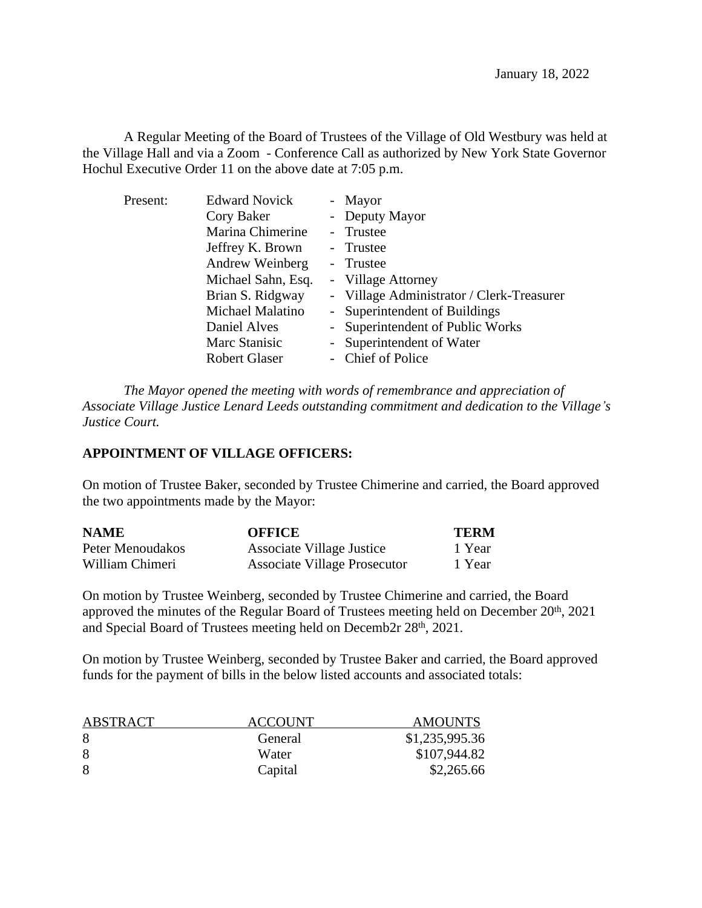A Regular Meeting of the Board of Trustees of the Village of Old Westbury was held at the Village Hall and via a Zoom - Conference Call as authorized by New York State Governor Hochul Executive Order 11 on the above date at 7:05 p.m.

| Present: | <b>Edward Novick</b> | - Mayor                                   |
|----------|----------------------|-------------------------------------------|
|          | Cory Baker           | - Deputy Mayor                            |
|          | Marina Chimerine     | - Trustee                                 |
|          | Jeffrey K. Brown     | - Trustee                                 |
|          | Andrew Weinberg      | - Trustee                                 |
|          | Michael Sahn, Esq.   | - Village Attorney                        |
|          | Brian S. Ridgway     | - Village Administrator / Clerk-Treasurer |
|          | Michael Malatino     | - Superintendent of Buildings             |
|          | Daniel Alves         | - Superintendent of Public Works          |
|          | Marc Stanisic        | - Superintendent of Water                 |
|          | <b>Robert Glaser</b> | - Chief of Police                         |

*The Mayor opened the meeting with words of remembrance and appreciation of Associate Village Justice Lenard Leeds outstanding commitment and dedication to the Village's Justice Court.*

## **APPOINTMENT OF VILLAGE OFFICERS:**

On motion of Trustee Baker, seconded by Trustee Chimerine and carried, the Board approved the two appointments made by the Mayor:

| <b>NAME</b>      | <b>OFFICE</b>                | <b>TERM</b> |
|------------------|------------------------------|-------------|
| Peter Menoudakos | Associate Village Justice    | 1 Year      |
| William Chimeri  | Associate Village Prosecutor | 1 Year      |

On motion by Trustee Weinberg, seconded by Trustee Chimerine and carried, the Board approved the minutes of the Regular Board of Trustees meeting held on December 20<sup>th</sup>, 2021 and Special Board of Trustees meeting held on Decemb2r 28<sup>th</sup>, 2021.

On motion by Trustee Weinberg, seconded by Trustee Baker and carried, the Board approved funds for the payment of bills in the below listed accounts and associated totals:

| ABSTRACT | ACCOUNT | <b>AMOUNTS</b> |
|----------|---------|----------------|
| 8        | General | \$1,235,995.36 |
| 8        | Water   | \$107,944.82   |
| 8        | Capital | \$2,265.66     |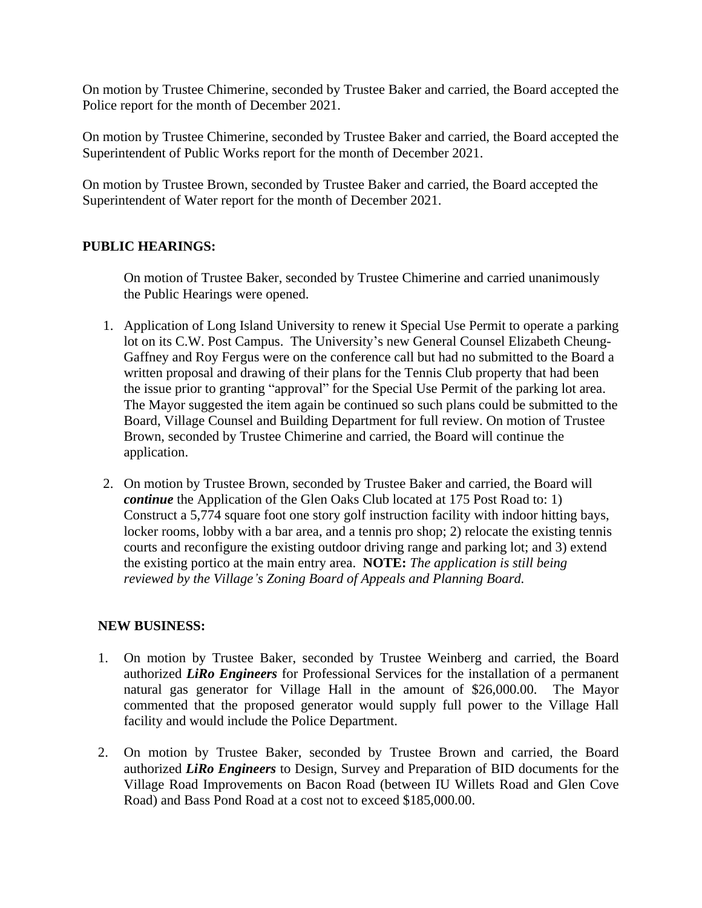On motion by Trustee Chimerine, seconded by Trustee Baker and carried, the Board accepted the Police report for the month of December 2021.

On motion by Trustee Chimerine, seconded by Trustee Baker and carried, the Board accepted the Superintendent of Public Works report for the month of December 2021.

On motion by Trustee Brown, seconded by Trustee Baker and carried, the Board accepted the Superintendent of Water report for the month of December 2021.

## **PUBLIC HEARINGS:**

On motion of Trustee Baker, seconded by Trustee Chimerine and carried unanimously the Public Hearings were opened.

- 1. Application of Long Island University to renew it Special Use Permit to operate a parking lot on its C.W. Post Campus. The University's new General Counsel Elizabeth Cheung-Gaffney and Roy Fergus were on the conference call but had no submitted to the Board a written proposal and drawing of their plans for the Tennis Club property that had been the issue prior to granting "approval" for the Special Use Permit of the parking lot area. The Mayor suggested the item again be continued so such plans could be submitted to the Board, Village Counsel and Building Department for full review. On motion of Trustee Brown, seconded by Trustee Chimerine and carried, the Board will continue the application.
- 2. On motion by Trustee Brown, seconded by Trustee Baker and carried, the Board will *continue* the Application of the Glen Oaks Club located at 175 Post Road to: 1) Construct a 5,774 square foot one story golf instruction facility with indoor hitting bays, locker rooms, lobby with a bar area, and a tennis pro shop; 2) relocate the existing tennis courts and reconfigure the existing outdoor driving range and parking lot; and 3) extend the existing portico at the main entry area. **NOTE:** *The application is still being reviewed by the Village's Zoning Board of Appeals and Planning Board.*

## **NEW BUSINESS:**

- 1. On motion by Trustee Baker, seconded by Trustee Weinberg and carried, the Board authorized *LiRo Engineers* for Professional Services for the installation of a permanent natural gas generator for Village Hall in the amount of \$26,000.00. The Mayor commented that the proposed generator would supply full power to the Village Hall facility and would include the Police Department.
- 2. On motion by Trustee Baker, seconded by Trustee Brown and carried, the Board authorized *LiRo Engineers* to Design, Survey and Preparation of BID documents for the Village Road Improvements on Bacon Road (between IU Willets Road and Glen Cove Road) and Bass Pond Road at a cost not to exceed \$185,000.00.